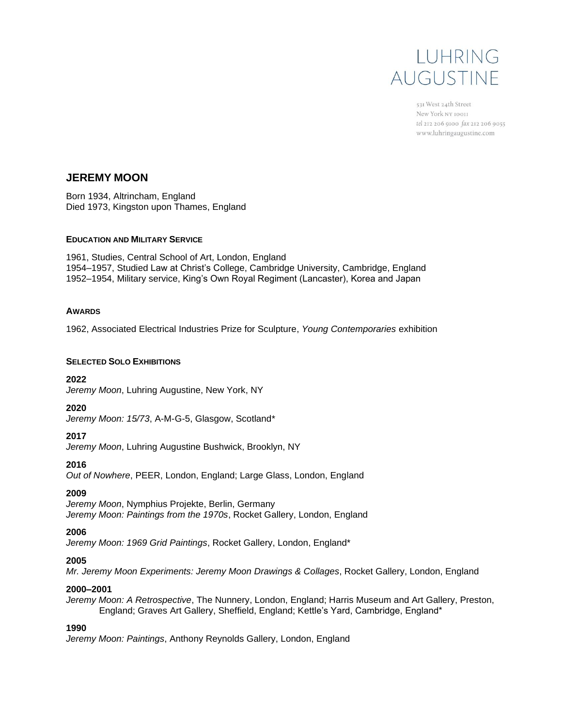

531 West 24th Street New York NY 10011 tel 212 206 9100 fax 212 206 9055 www.luhringaugustine.com

# **JEREMY MOON**

Born 1934, Altrincham, England Died 1973, Kingston upon Thames, England

### **EDUCATION AND MILITARY SERVICE**

1961, Studies, Central School of Art, London, England 1954–1957, Studied Law at Christ's College, Cambridge University, Cambridge, England 1952–1954, Military service, King's Own Royal Regiment (Lancaster), Korea and Japan

## **AWARDS**

1962, Associated Electrical Industries Prize for Sculpture, *Young Contemporaries* exhibition

### **SELECTED SOLO EXHIBITIONS**

**2022**

*Jeremy Moon*, Luhring Augustine, New York, NY

### **2020**

*Jeremy Moon: 15/73*, A-M-G-5, Glasgow, Scotland\*

# **2017**

*Jeremy Moon*, Luhring Augustine Bushwick, Brooklyn, NY

# **2016**

*Out of Nowhere*, PEER, London, England; Large Glass, London, England

# **2009**

*Jeremy Moon*, Nymphius Projekte, Berlin, Germany *Jeremy Moon: Paintings from the 1970s*, Rocket Gallery, London, England

### **2006**

*Jeremy Moon: 1969 Grid Paintings*, Rocket Gallery, London, England\*

# **2005**

*Mr. Jeremy Moon Experiments: Jeremy Moon Drawings & Collages*, Rocket Gallery, London, England

# **2000–2001**

*Jeremy Moon: A Retrospective*, The Nunnery, London, England; Harris Museum and Art Gallery, Preston, England; Graves Art Gallery, Sheffield, England; Kettle's Yard, Cambridge, England\*

# **1990**

*Jeremy Moon: Paintings*, Anthony Reynolds Gallery, London, England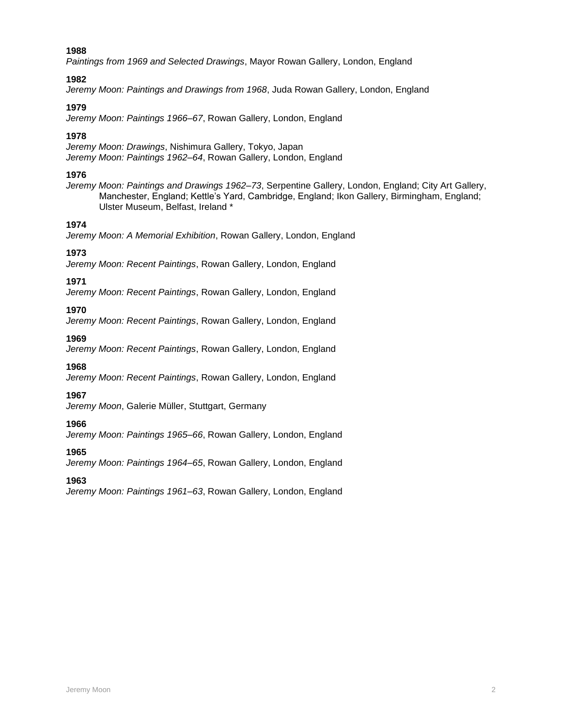*Paintings from 1969 and Selected Drawings*, Mayor Rowan Gallery, London, England

### **1982**

*Jeremy Moon: Paintings and Drawings from 1968*, Juda Rowan Gallery, London, England

# **1979**

*Jeremy Moon: Paintings 1966–67*, Rowan Gallery, London, England

# **1978**

*Jeremy Moon: Drawings*, Nishimura Gallery, Tokyo, Japan *Jeremy Moon: Paintings 1962–64*, Rowan Gallery, London, England

## **1976**

*Jeremy Moon: Paintings and Drawings 1962–73*, Serpentine Gallery, London, England; City Art Gallery, Manchester, England; Kettle's Yard, Cambridge, England; Ikon Gallery, Birmingham, England; Ulster Museum, Belfast, Ireland \*

# **1974**

*Jeremy Moon: A Memorial Exhibition*, Rowan Gallery, London, England

## **1973**

*Jeremy Moon: Recent Paintings*, Rowan Gallery, London, England

## **1971**

*Jeremy Moon: Recent Paintings*, Rowan Gallery, London, England

## **1970**

*Jeremy Moon: Recent Paintings*, Rowan Gallery, London, England

# **1969**

*Jeremy Moon: Recent Paintings*, Rowan Gallery, London, England

### **1968**

*Jeremy Moon: Recent Paintings*, Rowan Gallery, London, England

# **1967**

*Jeremy Moon*, Galerie Müller, Stuttgart, Germany

# **1966**

*Jeremy Moon: Paintings 1965–66*, Rowan Gallery, London, England

#### **1965** *Jeremy Moon: Paintings 1964–65*, Rowan Gallery, London, England

**1963**

*Jeremy Moon: Paintings 1961–63*, Rowan Gallery, London, England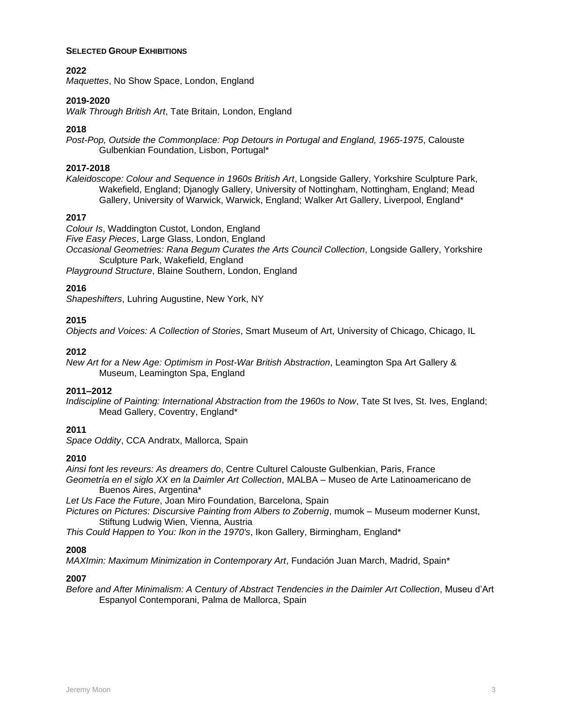#### **SELECTED GROUP EXHIBITIONS**

### **2022**

*Maquettes*, No Show Space, London, England

### **2019-2020**

*Walk Through British Art*, Tate Britain, London, England

### **2018**

*Post-Pop, Outside the Commonplace: Pop Detours in Portugal and England, 1965-1975*, Calouste Gulbenkian Foundation, Lisbon, Portugal\*

## **2017-2018**

*Kaleidoscope: Colour and Sequence in 1960s British Art*, Longside Gallery, Yorkshire Sculpture Park, Wakefield, England; Djanogly Gallery, University of Nottingham, Nottingham, England; Mead Gallery, University of Warwick, Warwick, England; Walker Art Gallery, Liverpool, England\*

## **2017**

*Colour Is*, Waddington Custot, London, England

*Five Easy Pieces*, Large Glass, London, England

*Occasional Geometries: Rana Begum Curates the Arts Council Collection*, Longside Gallery, Yorkshire Sculpture Park, Wakefield, England

*Playground Structure*, Blaine Southern, London, England

# **2016**

*Shapeshifters*, Luhring Augustine, New York, NY

## **2015**

*Objects and Voices: A Collection of Stories*, Smart Museum of Art, University of Chicago, Chicago, IL

## **2012**

*New Art for a New Age: Optimism in Post-War British Abstraction*, Leamington Spa Art Gallery & Museum, Leamington Spa, England

### **2011–2012**

*Indiscipline of Painting: International Abstraction from the 1960s to Now*, Tate St Ives, St. Ives, England; Mead Gallery, Coventry, England\*

# **2011**

*Space Oddity*, CCA Andratx, Mallorca, Spain

### **2010**

*Ainsi font les reveurs: As dreamers do*, Centre Culturel Calouste Gulbenkian, Paris, France *Geometría en el siglo XX en la Daimler Art Collection*, MALBA – Museo de Arte Latinoamericano de Buenos Aires, Argentina\*

*Let Us Face the Future*, Joan Miro Foundation, Barcelona, Spain

*Pictures on Pictures: Discursive Painting from Albers to Zobernig*, mumok – Museum moderner Kunst, Stiftung Ludwig Wien, Vienna, Austria

*This Could Happen to You: Ikon in the 1970's*, Ikon Gallery, Birmingham, England\*

### **2008**

*MAXImin: Maximum Minimization in Contemporary Art*, Fundación Juan March, Madrid, Spain\*

### **2007**

*Before and After Minimalism: A Century of Abstract Tendencies in the Daimler Art Collection*, Museu d'Art Espanyol Contemporani, Palma de Mallorca, Spain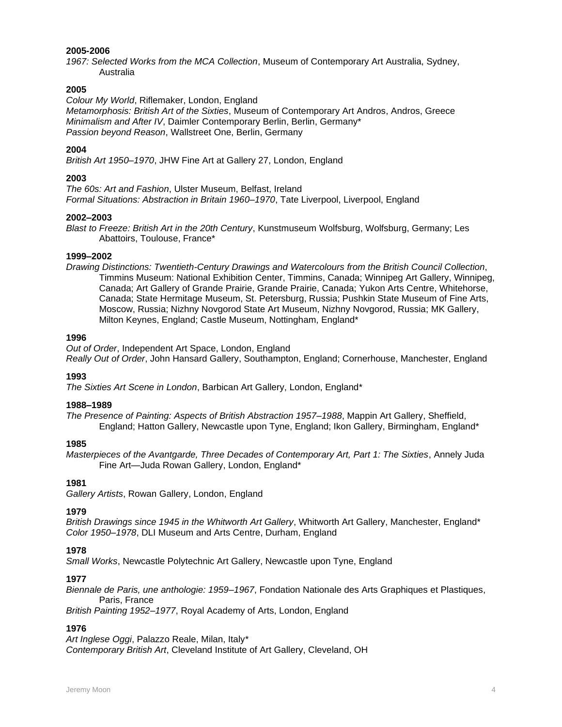### **2005-2006**

*1967: Selected Works from the MCA Collection*, Museum of Contemporary Art Australia, Sydney, Australia

### **2005**

*Colour My World*, Riflemaker, London, England

*Metamorphosis: British Art of the Sixties*, Museum of Contemporary Art Andros, Andros, Greece *Minimalism and After IV*, Daimler Contemporary Berlin, Berlin, Germany\* *Passion beyond Reason*, Wallstreet One, Berlin, Germany

# **2004**

*British Art 1950–1970*, JHW Fine Art at Gallery 27, London, England

### **2003**

*The 60s: Art and Fashion*, Ulster Museum, Belfast, Ireland *Formal Situations: Abstraction in Britain 1960–1970*, Tate Liverpool, Liverpool, England

#### **2002–2003**

*Blast to Freeze: British Art in the 20th Century*, Kunstmuseum Wolfsburg, Wolfsburg, Germany; Les Abattoirs, Toulouse, France\*

#### **1999–2002**

*Drawing Distinctions: Twentieth-Century Drawings and Watercolours from the British Council Collection*, Timmins Museum: National Exhibition Center, Timmins, Canada; Winnipeg Art Gallery, Winnipeg, Canada; Art Gallery of Grande Prairie, Grande Prairie, Canada; Yukon Arts Centre, Whitehorse, Canada; State Hermitage Museum, St. Petersburg, Russia; Pushkin State Museum of Fine Arts, Moscow, Russia; Nizhny Novgorod State Art Museum, Nizhny Novgorod, Russia; MK Gallery, Milton Keynes, England; Castle Museum, Nottingham, England\*

#### **1996**

*Out of Order*, Independent Art Space, London, England *Really Out of Order*, John Hansard Gallery, Southampton, England; Cornerhouse, Manchester, England

#### **1993**

*The Sixties Art Scene in London*, Barbican Art Gallery, London, England\*

#### **1988–1989**

*The Presence of Painting: Aspects of British Abstraction 1957–1988*, Mappin Art Gallery, Sheffield, England; Hatton Gallery, Newcastle upon Tyne, England; Ikon Gallery, Birmingham, England\*

#### **1985**

*Masterpieces of the Avantgarde, Three Decades of Contemporary Art, Part 1: The Sixties*, Annely Juda Fine Art—Juda Rowan Gallery, London, England\*

### **1981**

*Gallery Artists*, Rowan Gallery, London, England

# **1979**

*British Drawings since 1945 in the Whitworth Art Gallery*, Whitworth Art Gallery, Manchester, England\* *Color 1950–1978*, DLI Museum and Arts Centre, Durham, England

#### **1978**

*Small Works*, Newcastle Polytechnic Art Gallery, Newcastle upon Tyne, England

#### **1977**

*Biennale de Paris, une anthologie: 1959–1967*, Fondation Nationale des Arts Graphiques et Plastiques, Paris, France

*British Painting 1952–1977*, Royal Academy of Arts, London, England

# **1976**

*Art Inglese Oggi*, Palazzo Reale, Milan, Italy\* *Contemporary British Art*, Cleveland Institute of Art Gallery, Cleveland, OH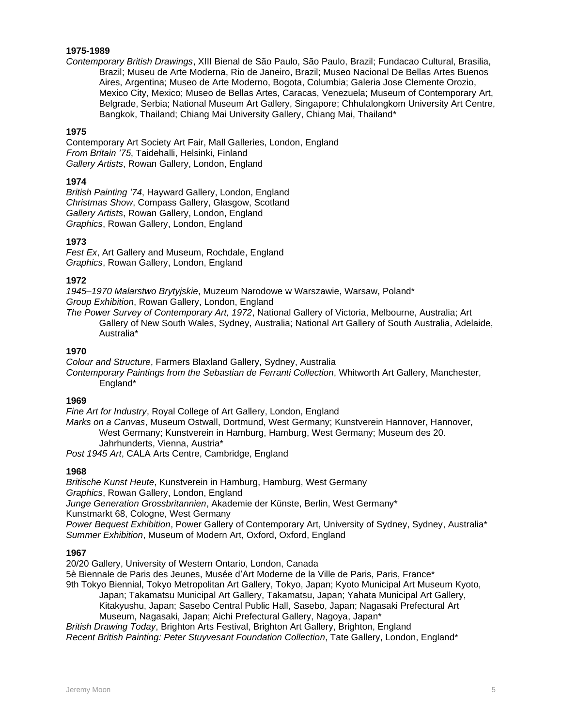# **1975-1989**

*Contemporary British Drawings*, XIII Bienal de São Paulo, São Paulo, Brazil; Fundacao Cultural, Brasilia, Brazil; Museu de Arte Moderna, Rio de Janeiro, Brazil; Museo Nacional De Bellas Artes Buenos Aires, Argentina; Museo de Arte Moderno, Bogota, Columbia; Galeria Jose Clemente Orozio, Mexico City, Mexico; Museo de Bellas Artes, Caracas, Venezuela; Museum of Contemporary Art, Belgrade, Serbia; National Museum Art Gallery, Singapore; Chhulalongkom University Art Centre, Bangkok, Thailand; Chiang Mai University Gallery, Chiang Mai, Thailand\*

# **1975**

Contemporary Art Society Art Fair, Mall Galleries, London, England *From Britain '75*, Taidehalli, Helsinki, Finland *Gallery Artists*, Rowan Gallery, London, England

### **1974**

*British Painting '74*, Hayward Gallery, London, England *Christmas Show*, Compass Gallery, Glasgow, Scotland *Gallery Artists*, Rowan Gallery, London, England *Graphics*, Rowan Gallery, London, England

### **1973**

*Fest Ex*, Art Gallery and Museum, Rochdale, England *Graphics*, Rowan Gallery, London, England

#### **1972**

*1945–1970 Malarstwo Brytyjskie*, Muzeum Narodowe w Warszawie, Warsaw, Poland\* *Group Exhibition*, Rowan Gallery, London, England

*The Power Survey of Contemporary Art, 1972*, National Gallery of Victoria, Melbourne, Australia; Art Gallery of New South Wales, Sydney, Australia; National Art Gallery of South Australia, Adelaide, Australia\*

#### **1970**

*Colour and Structure*, Farmers Blaxland Gallery, Sydney, Australia *Contemporary Paintings from the Sebastian de Ferranti Collection*, Whitworth Art Gallery, Manchester, England\*

### **1969**

*Fine Art for Industry*, Royal College of Art Gallery, London, England *Marks on a Canvas*, Museum Ostwall, Dortmund, West Germany; Kunstverein Hannover, Hannover, West Germany; Kunstverein in Hamburg, Hamburg, West Germany; Museum des 20. Jahrhunderts, Vienna, Austria\*

*Post 1945 Art*, CALA Arts Centre, Cambridge, England

### **1968**

*Britische Kunst Heute*, Kunstverein in Hamburg, Hamburg, West Germany *Graphics*, Rowan Gallery, London, England *Junge Generation Grossbritannien*, Akademie der Künste, Berlin, West Germany\* Kunstmarkt 68, Cologne, West Germany *Power Bequest Exhibition*, Power Gallery of Contemporary Art, University of Sydney, Sydney, Australia\* *Summer Exhibition*, Museum of Modern Art, Oxford, Oxford, England

### **1967**

20/20 Gallery, University of Western Ontario, London, Canada 5è Biennale de Paris des Jeunes, Musée d'Art Moderne de la Ville de Paris, Paris, France\* 9th Tokyo Biennial, Tokyo Metropolitan Art Gallery, Tokyo, Japan; Kyoto Municipal Art Museum Kyoto, Japan; Takamatsu Municipal Art Gallery, Takamatsu, Japan; Yahata Municipal Art Gallery, Kitakyushu, Japan; Sasebo Central Public Hall, Sasebo, Japan; Nagasaki Prefectural Art Museum, Nagasaki, Japan; Aichi Prefectural Gallery, Nagoya, Japan\* *British Drawing Today*, Brighton Arts Festival, Brighton Art Gallery, Brighton, England

*Recent British Painting: Peter Stuyvesant Foundation Collection*, Tate Gallery, London, England\*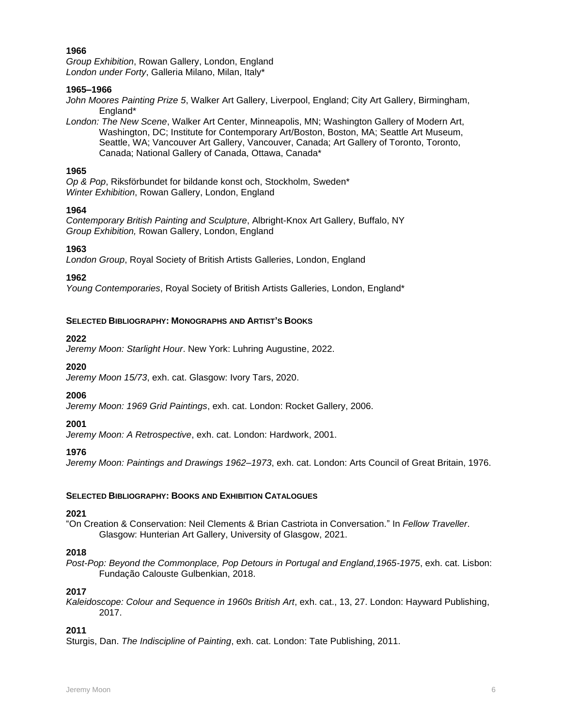*Group Exhibition*, Rowan Gallery, London, England *London under Forty*, Galleria Milano, Milan, Italy\*

### **1965–1966**

*John Moores Painting Prize 5*, Walker Art Gallery, Liverpool, England; City Art Gallery, Birmingham, England\*

*London: The New Scene*, Walker Art Center, Minneapolis, MN; Washington Gallery of Modern Art, Washington, DC; Institute for Contemporary Art/Boston, Boston, MA; Seattle Art Museum, Seattle, WA; Vancouver Art Gallery, Vancouver, Canada; Art Gallery of Toronto, Toronto, Canada; National Gallery of Canada, Ottawa, Canada\*

## **1965**

*Op & Pop*, Riksförbundet for bildande konst och, Stockholm, Sweden\* *Winter Exhibition*, Rowan Gallery, London, England

## **1964**

*Contemporary British Painting and Sculpture*, Albright-Knox Art Gallery, Buffalo, NY *Group Exhibition,* Rowan Gallery, London, England

## **1963**

*London Group*, Royal Society of British Artists Galleries, London, England

# **1962**

*Young Contemporaries*, Royal Society of British Artists Galleries, London, England\*

# **SELECTED BIBLIOGRAPHY: MONOGRAPHS AND ARTIST'S BOOKS**

## **2022**

*Jeremy Moon: Starlight Hour*. New York: Luhring Augustine, 2022.

### **2020**

*Jeremy Moon 15/73*, exh. cat. Glasgow: Ivory Tars, 2020.

# **2006**

*Jeremy Moon: 1969 Grid Paintings*, exh. cat. London: Rocket Gallery, 2006.

# **2001**

*Jeremy Moon: A Retrospective*, exh. cat. London: Hardwork, 2001.

# **1976**

*Jeremy Moon: Paintings and Drawings 1962–1973*, exh. cat. London: Arts Council of Great Britain, 1976.

### **SELECTED BIBLIOGRAPHY: BOOKS AND EXHIBITION CATALOGUES**

### **2021**

"On Creation & Conservation: Neil Clements & Brian Castriota in Conversation." In *Fellow Traveller*. Glasgow: Hunterian Art Gallery, University of Glasgow, 2021.

# **2018**

*Post-Pop: Beyond the Commonplace, Pop Detours in Portugal and England,1965-1975*, exh. cat. Lisbon: Fundação Calouste Gulbenkian, 2018.

# **2017**

*Kaleidoscope: Colour and Sequence in 1960s British Art*, exh. cat., 13, 27. London: Hayward Publishing, 2017.

# **2011**

Sturgis, Dan. *The Indiscipline of Painting*, exh. cat. London: Tate Publishing, 2011.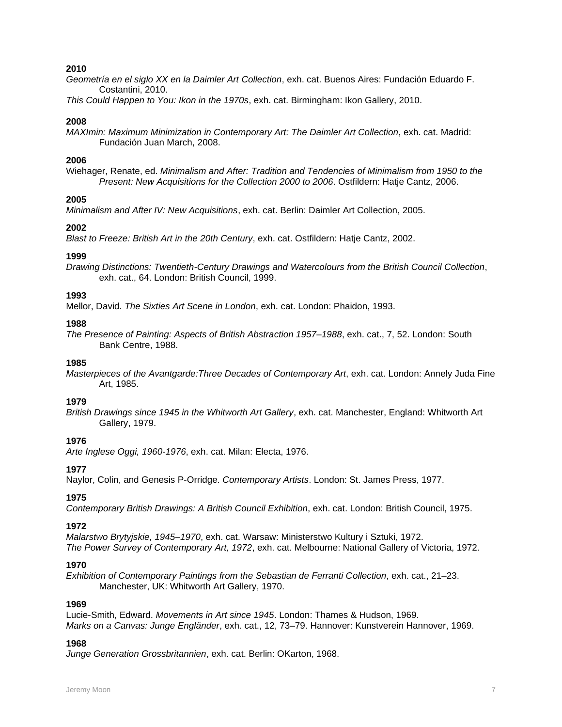*Geometría en el siglo XX en la Daimler Art Collection*, exh. cat. Buenos Aires: Fundación Eduardo F. Costantini, 2010.

*This Could Happen to You: Ikon in the 1970s*, exh. cat. Birmingham: Ikon Gallery, 2010.

### **2008**

*MAXImin: Maximum Minimization in Contemporary Art: The Daimler Art Collection*, exh. cat. Madrid: Fundación Juan March, 2008.

### **2006**

Wiehager, Renate, ed. *Minimalism and After: Tradition and Tendencies of Minimalism from 1950 to the Present: New Acquisitions for the Collection 2000 to 2006*. Ostfildern: Hatje Cantz, 2006.

### **2005**

*Minimalism and After IV: New Acquisitions*, exh. cat. Berlin: Daimler Art Collection, 2005.

## **2002**

*Blast to Freeze: British Art in the 20th Century*, exh. cat. Ostfildern: Hatje Cantz, 2002.

## **1999**

*Drawing Distinctions: Twentieth-Century Drawings and Watercolours from the British Council Collection*, exh. cat., 64. London: British Council, 1999.

## **1993**

Mellor, David. *The Sixties Art Scene in London*, exh. cat. London: Phaidon, 1993.

### **1988**

*The Presence of Painting: Aspects of British Abstraction 1957–1988*, exh. cat., 7, 52. London: South Bank Centre, 1988.

### **1985**

*Masterpieces of the Avantgarde:Three Decades of Contemporary Art*, exh. cat. London: Annely Juda Fine Art, 1985.

### **1979**

*British Drawings since 1945 in the Whitworth Art Gallery*, exh. cat. Manchester, England: Whitworth Art Gallery, 1979.

# **1976**

*Arte Inglese Oggi, 1960-1976*, exh. cat. Milan: Electa, 1976.

# **1977**

Naylor, Colin, and Genesis P-Orridge. *Contemporary Artists*. London: St. James Press, 1977.

# **1975**

*Contemporary British Drawings: A British Council Exhibition*, exh. cat. London: British Council, 1975.

### **1972**

*Malarstwo Brytyjskie, 1945–1970*, exh. cat. Warsaw: Ministerstwo Kultury i Sztuki, 1972. *The Power Survey of Contemporary Art, 1972*, exh. cat. Melbourne: National Gallery of Victoria, 1972.

### **1970**

*Exhibition of Contemporary Paintings from the Sebastian de Ferranti Collection*, exh. cat., 21–23. Manchester, UK: Whitworth Art Gallery, 1970.

### **1969**

Lucie-Smith, Edward. *Movements in Art since 1945*. London: Thames & Hudson, 1969. *Marks on a Canvas: Junge Engländer*, exh. cat., 12, 73–79. Hannover: Kunstverein Hannover, 1969.

### **1968**

*Junge Generation Grossbritannien*, exh. cat. Berlin: OKarton, 1968.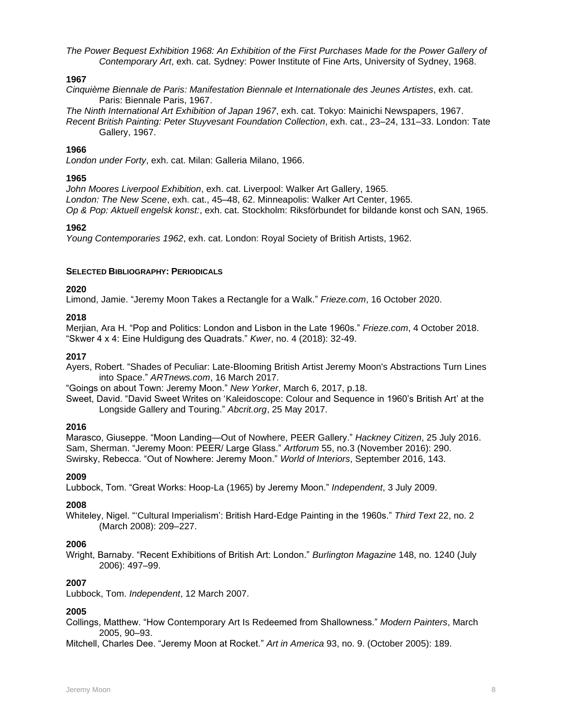*The Power Bequest Exhibition 1968: An Exhibition of the First Purchases Made for the Power Gallery of Contemporary Art*, exh. cat. Sydney: Power Institute of Fine Arts, University of Sydney, 1968.

#### **1967**

*Cinquième Biennale de Paris: Manifestation Biennale et Internationale des Jeunes Artistes*, exh. cat. Paris: Biennale Paris, 1967.

*The Ninth International Art Exhibition of Japan 1967*, exh. cat. Tokyo: Mainichi Newspapers, 1967.

*Recent British Painting: Peter Stuyvesant Foundation Collection*, exh. cat., 23–24, 131–33. London: Tate Gallery, 1967.

### **1966**

*London under Forty*, exh. cat. Milan: Galleria Milano, 1966.

#### **1965**

*John Moores Liverpool Exhibition*, exh. cat. Liverpool: Walker Art Gallery, 1965. *London: The New Scene*, exh. cat., 45–48, 62. Minneapolis: Walker Art Center, 1965. *Op & Pop: Aktuell engelsk konst:*, exh. cat. Stockholm: Riksförbundet for bildande konst och SAN, 1965.

#### **1962**

*Young Contemporaries 1962*, exh. cat. London: Royal Society of British Artists, 1962.

#### **SELECTED BIBLIOGRAPHY: PERIODICALS**

### **2020**

Limond, Jamie. "Jeremy Moon Takes a Rectangle for a Walk." *Frieze.com*, 16 October 2020.

### **2018**

Merjian, Ara H. "Pop and Politics: London and Lisbon in the Late 1960s." *Frieze.com*, 4 October 2018. "Skwer 4 x 4: Eine Huldigung des Quadrats." *Kwer*, no. 4 (2018): 32-49.

#### **2017**

Ayers, Robert. "Shades of Peculiar: Late-Blooming British Artist Jeremy Moon's Abstractions Turn Lines into Space." *ARTnews.com*, 16 March 2017.

"Goings on about Town: Jeremy Moon." *New Yorker*, March 6, 2017, p.18.

Sweet, David. "David Sweet Writes on 'Kaleidoscope: Colour and Sequence in 1960's British Art' at the Longside Gallery and Touring." *Abcrit.org*, 25 May 2017.

### **2016**

Marasco, Giuseppe. "Moon Landing—Out of Nowhere, PEER Gallery." *Hackney Citizen*, 25 July 2016. Sam, Sherman. "Jeremy Moon: PEER/ Large Glass." *Artforum* 55, no.3 (November 2016): 290. Swirsky, Rebecca. "Out of Nowhere: Jeremy Moon." *World of Interiors*, September 2016, 143.

### **2009**

Lubbock, Tom. "Great Works: Hoop-La (1965) by Jeremy Moon." *Independent*, 3 July 2009.

### **2008**

Whiteley, Nigel. "'Cultural Imperialism': British Hard-Edge Painting in the 1960s." *Third Text* 22, no. 2 (March 2008): 209–227.

### **2006**

Wright, Barnaby. "Recent Exhibitions of British Art: London." *Burlington Magazine* 148, no. 1240 (July 2006): 497–99.

### **2007**

Lubbock, Tom. *Independent*, 12 March 2007.

### **2005**

Collings, Matthew. "How Contemporary Art Is Redeemed from Shallowness." *Modern Painters*, March 2005, 90–93.

Mitchell, Charles Dee. "Jeremy Moon at Rocket." *Art in America* 93, no. 9. (October 2005): 189.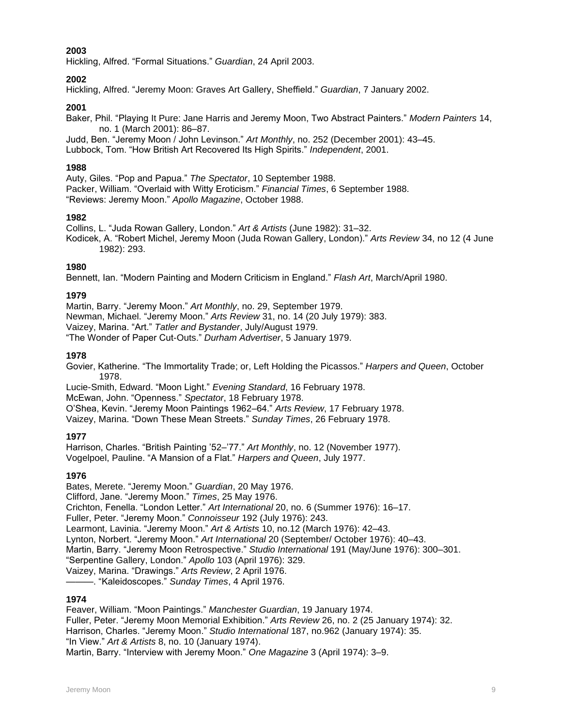Hickling, Alfred. "Formal Situations." *Guardian*, 24 April 2003.

# **2002**

Hickling, Alfred. "Jeremy Moon: Graves Art Gallery, Sheffield." *Guardian*, 7 January 2002.

# **2001**

Baker, Phil. "Playing It Pure: Jane Harris and Jeremy Moon, Two Abstract Painters." *Modern Painters* 14, no. 1 (March 2001): 86–87.

Judd, Ben. "Jeremy Moon / John Levinson." *Art Monthly*, no. 252 (December 2001): 43–45. Lubbock, Tom. "How British Art Recovered Its High Spirits." *Independent*, 2001.

# **1988**

Auty, Giles. "Pop and Papua." *The Spectator*, 10 September 1988. Packer, William. "Overlaid with Witty Eroticism." *Financial Times*, 6 September 1988. "Reviews: Jeremy Moon." *Apollo Magazine*, October 1988.

## **1982**

Collins, L. "Juda Rowan Gallery, London." *Art & Artists* (June 1982): 31–32. Kodicek, A. "Robert Michel, Jeremy Moon (Juda Rowan Gallery, London)." *Arts Review* 34, no 12 (4 June 1982): 293.

## **1980**

Bennett, Ian. "Modern Painting and Modern Criticism in England." *Flash Art*, March/April 1980.

# **1979**

Martin, Barry. "Jeremy Moon." *Art Monthly*, no. 29, September 1979. Newman, Michael. "Jeremy Moon." *Arts Review* 31, no. 14 (20 July 1979): 383. Vaizey, Marina. "Art." *Tatler and Bystander*, July/August 1979. "The Wonder of Paper Cut-Outs." *Durham Advertiser*, 5 January 1979.

## **1978**

Govier, Katherine. "The Immortality Trade; or, Left Holding the Picassos." *Harpers and Queen*, October 1978.

Lucie-Smith, Edward. "Moon Light." *Evening Standard*, 16 February 1978.

McEwan, John. "Openness." *Spectator*, 18 February 1978.

O'Shea, Kevin. "Jeremy Moon Paintings 1962–64." *Arts Review*, 17 February 1978.

Vaizey, Marina. "Down These Mean Streets." *Sunday Times*, 26 February 1978.

# **1977**

Harrison, Charles. "British Painting '52–'77." *Art Monthly*, no. 12 (November 1977). Vogelpoel, Pauline. "A Mansion of a Flat." *Harpers and Queen*, July 1977.

# **1976**

Bates, Merete. "Jeremy Moon." *Guardian*, 20 May 1976. Clifford, Jane. "Jeremy Moon." *Times*, 25 May 1976. Crichton, Fenella. "London Letter." *Art International* 20, no. 6 (Summer 1976): 16–17. Fuller, Peter. "Jeremy Moon." *Connoisseur* 192 (July 1976): 243. Learmont, Lavinia. "Jeremy Moon." *Art & Artists* 10, no.12 (March 1976): 42–43. Lynton, Norbert. "Jeremy Moon." *Art International* 20 (September/ October 1976): 40–43. Martin, Barry. "Jeremy Moon Retrospective." *Studio International* 191 (May/June 1976): 300–301. "Serpentine Gallery, London." *Apollo* 103 (April 1976): 329. Vaizey, Marina. "Drawings." *Arts Review*, 2 April 1976. ———. "Kaleidoscopes." *Sunday Times*, 4 April 1976.

### **1974**

Feaver, William. "Moon Paintings." *Manchester Guardian*, 19 January 1974. Fuller, Peter. "Jeremy Moon Memorial Exhibition." *Arts Review* 26, no. 2 (25 January 1974): 32. Harrison, Charles. "Jeremy Moon." *Studio International* 187, no.962 (January 1974): 35. "In View." *Art & Artists* 8, no. 10 (January 1974). Martin, Barry. "Interview with Jeremy Moon." *One Magazine* 3 (April 1974): 3–9.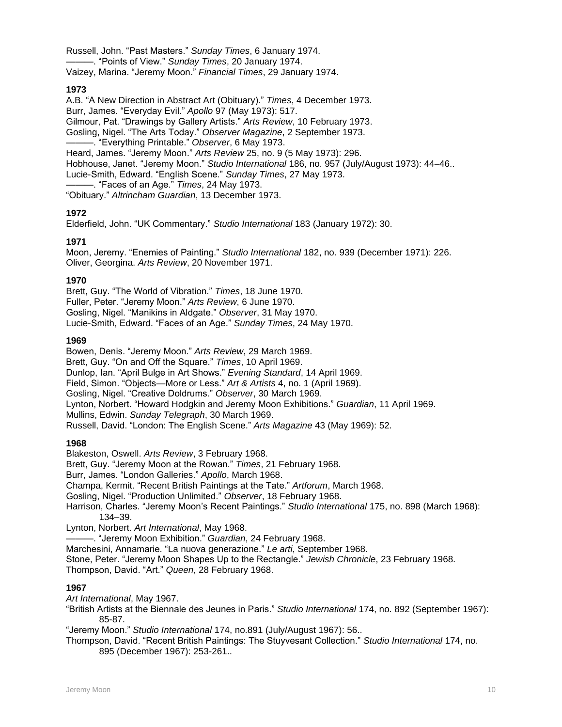Russell, John. "Past Masters." *Sunday Times*, 6 January 1974. ———. "Points of View." *Sunday Times*, 20 January 1974. Vaizey, Marina. "Jeremy Moon." *Financial Times*, 29 January 1974.

# **1973**

A.B. "A New Direction in Abstract Art (Obituary)." *Times*, 4 December 1973. Burr, James. "Everyday Evil." *Apollo* 97 (May 1973): 517. Gilmour, Pat. "Drawings by Gallery Artists." *Arts Review*, 10 February 1973. Gosling, Nigel. "The Arts Today." *Observer Magazine*, 2 September 1973. ———. "Everything Printable." *Observer*, 6 May 1973. Heard, James. "Jeremy Moon." *Arts Review* 25, no. 9 (5 May 1973): 296. Hobhouse, Janet. "Jeremy Moon." *Studio International* 186, no. 957 (July/August 1973): 44–46.. Lucie-Smith, Edward. "English Scene." *Sunday Times*, 27 May 1973. ———. "Faces of an Age." *Times*, 24 May 1973.

"Obituary." *Altrincham Guardian*, 13 December 1973.

# **1972**

Elderfield, John. "UK Commentary." *Studio International* 183 (January 1972): 30.

# **1971**

Moon, Jeremy. "Enemies of Painting." *Studio International* 182, no. 939 (December 1971): 226. Oliver, Georgina. *Arts Review*, 20 November 1971.

## **1970**

Brett, Guy. "The World of Vibration." *Times*, 18 June 1970. Fuller, Peter. "Jeremy Moon." *Arts Review*, 6 June 1970. Gosling, Nigel. "Manikins in Aldgate." *Observer*, 31 May 1970. Lucie-Smith, Edward. "Faces of an Age." *Sunday Times*, 24 May 1970.

## **1969**

Bowen, Denis. "Jeremy Moon." *Arts Review*, 29 March 1969. Brett, Guy. "On and Off the Square." *Times*, 10 April 1969. Dunlop, Ian. "April Bulge in Art Shows." *Evening Standard*, 14 April 1969. Field, Simon. "Objects—More or Less." *Art & Artists* 4, no. 1 (April 1969). Gosling, Nigel. "Creative Doldrums." *Observer*, 30 March 1969. Lynton, Norbert. "Howard Hodgkin and Jeremy Moon Exhibitions." *Guardian*, 11 April 1969. Mullins, Edwin. *Sunday Telegraph*, 30 March 1969. Russell, David. "London: The English Scene." *Arts Magazine* 43 (May 1969): 52.

# **1968**

Blakeston, Oswell. *Arts Review*, 3 February 1968. Brett, Guy. "Jeremy Moon at the Rowan." *Times*, 21 February 1968. Burr, James. "London Galleries." *Apollo*, March 1968. Champa, Kermit. "Recent British Paintings at the Tate." *Artforum*, March 1968. Gosling, Nigel. "Production Unlimited." *Observer*, 18 February 1968. Harrison, Charles. "Jeremy Moon's Recent Paintings." *Studio International* 175, no. 898 (March 1968): 134–39.

Lynton, Norbert. *Art International*, May 1968.

———. "Jeremy Moon Exhibition." *Guardian*, 24 February 1968.

Marchesini, Annamarie. "La nuova generazione." *Le arti*, September 1968.

Stone, Peter. "Jeremy Moon Shapes Up to the Rectangle." *Jewish Chronicle*, 23 February 1968. Thompson, David. "Art." *Queen*, 28 February 1968.

# **1967**

*Art International*, May 1967.

"British Artists at the Biennale des Jeunes in Paris." *Studio International* 174, no. 892 (September 1967): 85-87.

"Jeremy Moon." *Studio International* 174, no.891 (July/August 1967): 56..

Thompson, David. "Recent British Paintings: The Stuyvesant Collection." *Studio International* 174, no. 895 (December 1967): 253-261..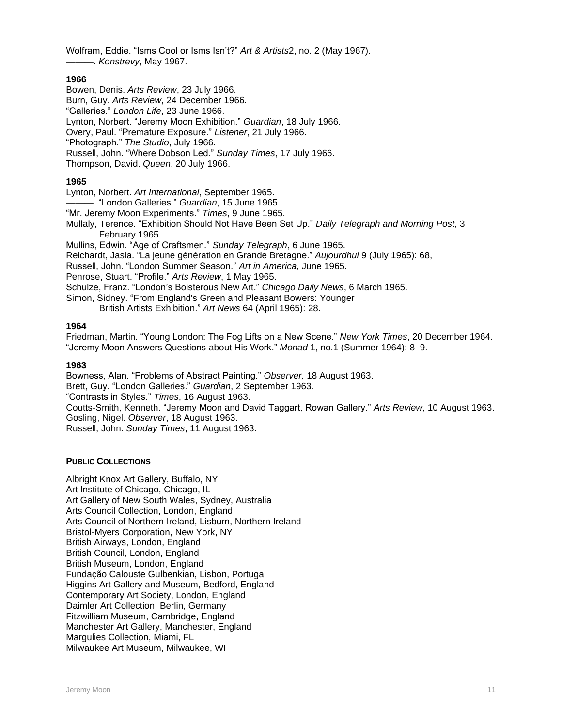Wolfram, Eddie. "Isms Cool or Isms Isn't?" *Art & Artists*2, no. 2 (May 1967). ———. *Konstrevy*, May 1967.

### **1966**

- Bowen, Denis. *Arts Review*, 23 July 1966.
- Burn, Guy. *Arts Review*, 24 December 1966.
- "Galleries." *London Life*, 23 June 1966.
- Lynton, Norbert. "Jeremy Moon Exhibition." *Guardian*, 18 July 1966.
- Overy, Paul. "Premature Exposure." *Listener*, 21 July 1966.
- "Photograph." *The Studio*, July 1966.
- Russell, John. "Where Dobson Led." *Sunday Times*, 17 July 1966.
- Thompson, David. *Queen*, 20 July 1966.

# **1965**

- Lynton, Norbert. *Art International*, September 1965.
- ———. "London Galleries." *Guardian*, 15 June 1965.
- "Mr. Jeremy Moon Experiments." *Times*, 9 June 1965.
- Mullaly, Terence. "Exhibition Should Not Have Been Set Up." *Daily Telegraph and Morning Post*, 3 February 1965.

Mullins, Edwin. "Age of Craftsmen." *Sunday Telegraph*, 6 June 1965.

- Reichardt, Jasia. "La jeune génération en Grande Bretagne." *Aujourdhui* 9 (July 1965): 68,
- Russell, John. "London Summer Season." *Art in America*, June 1965.
- Penrose, Stuart. "Profile." *Arts Review*, 1 May 1965.
- Schulze, Franz. "London's Boisterous New Art." *Chicago Daily News*, 6 March 1965.
- Simon, Sidney. "From England's Green and Pleasant Bowers: Younger
	- British Artists Exhibition." *Art News* 64 (April 1965): 28.

# **1964**

Friedman, Martin. "Young London: The Fog Lifts on a New Scene." *New York Times*, 20 December 1964. "Jeremy Moon Answers Questions about His Work." *Monad* 1, no.1 (Summer 1964): 8–9.

### **1963**

Bowness, Alan. "Problems of Abstract Painting." *Observer,* 18 August 1963.

Brett, Guy. "London Galleries." *Guardian*, 2 September 1963.

"Contrasts in Styles." *Times*, 16 August 1963.

Coutts-Smith, Kenneth. "Jeremy Moon and David Taggart, Rowan Gallery." *Arts Review*, 10 August 1963. Gosling, Nigel. *Observer*, 18 August 1963.

Russell, John. *Sunday Times*, 11 August 1963.

# **PUBLIC COLLECTIONS**

Albright Knox Art Gallery, Buffalo, NY Art Institute of Chicago, Chicago, IL Art Gallery of New South Wales, Sydney, Australia Arts Council Collection, London, England Arts Council of Northern Ireland, Lisburn, Northern Ireland Bristol-Myers Corporation, New York, NY British Airways, London, England British Council, London, England British Museum, London, England Fundação Calouste Gulbenkian, Lisbon, Portugal Higgins Art Gallery and Museum, Bedford, England Contemporary Art Society, London, England Daimler Art Collection, Berlin, Germany Fitzwilliam Museum, Cambridge, England Manchester Art Gallery, Manchester, England Margulies Collection, Miami, FL Milwaukee Art Museum, Milwaukee, WI